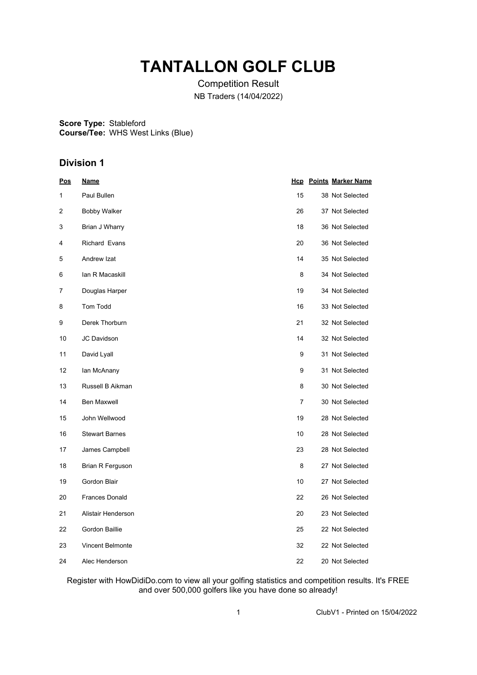## **TANTALLON GOLF CLUB**

Competition Result NB Traders (14/04/2022)

**Score Type: Course/Tee:** Stableford WHS West Links (Blue)

#### **Division 1**

| <u>Pos</u> | <u>Name</u>             |    | <b>Hcp</b> Points Marker Name |
|------------|-------------------------|----|-------------------------------|
| 1          | Paul Bullen             | 15 | 38 Not Selected               |
| 2          | <b>Bobby Walker</b>     | 26 | 37 Not Selected               |
| 3          | Brian J Wharry          | 18 | 36 Not Selected               |
| 4          | Richard Evans           | 20 | 36 Not Selected               |
| 5          | Andrew Izat             | 14 | 35 Not Selected               |
| 6          | lan R Macaskill         | 8  | 34 Not Selected               |
| 7          | Douglas Harper          | 19 | 34 Not Selected               |
| 8          | Tom Todd                | 16 | 33 Not Selected               |
| 9          | Derek Thorburn          | 21 | 32 Not Selected               |
| 10         | JC Davidson             | 14 | 32 Not Selected               |
| 11         | David Lyall             | 9  | 31 Not Selected               |
| 12         | lan McAnany             | 9  | 31 Not Selected               |
| 13         | Russell B Aikman        | 8  | 30 Not Selected               |
| 14         | Ben Maxwell             | 7  | 30 Not Selected               |
| 15         | John Wellwood           | 19 | 28 Not Selected               |
| 16         | <b>Stewart Barnes</b>   | 10 | 28 Not Selected               |
| 17         | James Campbell          | 23 | 28 Not Selected               |
| 18         | Brian R Ferguson        | 8  | 27 Not Selected               |
| 19         | Gordon Blair            | 10 | 27 Not Selected               |
| 20         | <b>Frances Donald</b>   | 22 | 26 Not Selected               |
| 21         | Alistair Henderson      | 20 | 23 Not Selected               |
| 22         | Gordon Baillie          | 25 | 22 Not Selected               |
| 23         | <b>Vincent Belmonte</b> | 32 | 22 Not Selected               |
| 24         | Alec Henderson          | 22 | 20 Not Selected               |

Register with HowDidiDo.com to view all your golfing statistics and competition results. It's FREE and over 500,000 golfers like you have done so already!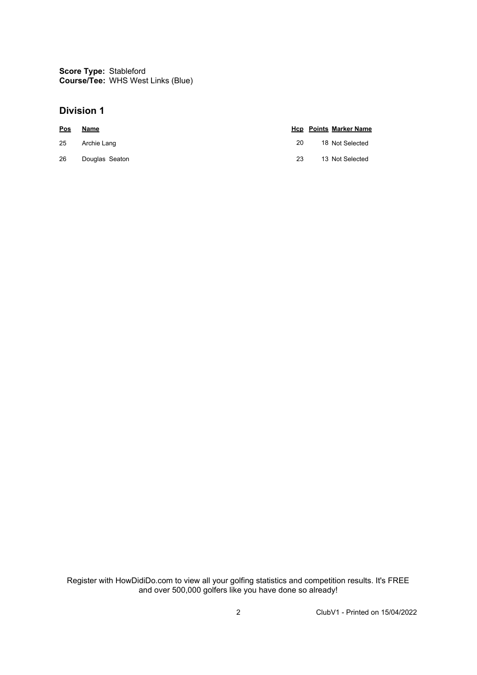**Score Type:** Stableford **Course/Tee:** WHS West Links (Blue)

#### **Division 1**

| Pos | Name           |    | <b>Hcp</b> Points Marker Name |
|-----|----------------|----|-------------------------------|
| 25  | Archie Lang    | 20 | 18 Not Selected               |
| 26  | Douglas Seaton | 23 | 13 Not Selected               |

Register with HowDidiDo.com to view all your golfing statistics and competition results. It's FREE and over 500,000 golfers like you have done so already!